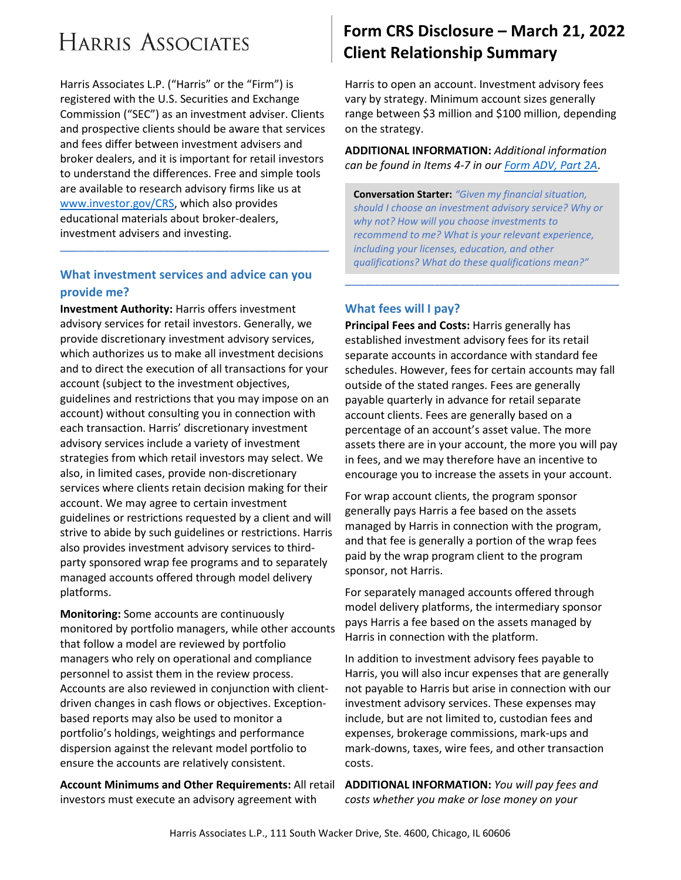# **HARRIS ASSOCIATES**

Harris Associates L.P. ("Harris" or the "Firm") is registered with the U.S. Securities and Exchange Commission ("SEC") as an investment adviser. Clients and prospective clients should be aware that services and fees differ between investment advisers and broker dealers, and it is important for retail investors to understand the differences. Free and simple tools are available to research advisory firms like us at [www.investor.gov/CRS,](http://www.investor.gov/CRS) which also provides educational materials about broker-dealers, investment advisers and investing.

#### **What investment services and advice can you provide me?**

**\_\_\_\_\_\_\_\_\_\_\_\_\_\_\_\_\_\_\_\_\_\_\_\_\_\_\_\_\_\_\_\_\_\_\_\_\_\_\_\_\_\_\_\_\_\_\_\_\_\_\_\_\_\_**

**Investment Authority:** Harris offers investment advisory services for retail investors. Generally, we provide discretionary investment advisory services, which authorizes us to make all investment decisions and to direct the execution of all transactions for your account (subject to the investment objectives, guidelines and restrictions that you may impose on an account) without consulting you in connection with each transaction. Harris' discretionary investment advisory services include a variety of investment strategies from which retail investors may select. We also, in limited cases, provide non-discretionary services where clients retain decision making for their account. We may agree to certain investment guidelines or restrictions requested by a client and will strive to abide by such guidelines or restrictions. Harris also provides investment advisory services to thirdparty sponsored wrap fee programs and to separately managed accounts offered through model delivery platforms.

**Monitoring:** Some accounts are continuously monitored by portfolio managers, while other accounts that follow a model are reviewed by portfolio managers who rely on operational and compliance personnel to assist them in the review process. Accounts are also reviewed in conjunction with clientdriven changes in cash flows or objectives. Exceptionbased reports may also be used to monitor a portfolio's holdings, weightings and performance dispersion against the relevant model portfolio to ensure the accounts are relatively consistent.

**Account Minimums and Other Requirements:** All retail investors must execute an advisory agreement with

# **Form CRS Disclosure – March 21, 2022 Client Relationship Summary**

Harris to open an account. Investment advisory fees vary by strategy. Minimum account sizes generally range between \$3 million and \$100 million, depending on the strategy.

**ADDITIONAL INFORMATION:** *Additional information can be found in Items 4-7 in our [Form ADV, Part 2A](https://harrisassoc.com/wp-content/uploads/sites/2/documents/Harris-Associates-LP-Form-ADV-Part-2A.pdf)*.

**Conversation Starter:** *"Given my financial situation, should I choose an investment advisory service? Why or why not? How will you choose investments to recommend to me? What is your relevant experience, including your licenses, education, and other qualifications? What do these qualifications mean?"*

**\_\_\_\_\_\_\_\_\_\_\_\_\_\_\_\_\_\_\_\_\_\_\_\_\_\_\_\_\_\_\_\_\_\_\_\_\_\_\_\_\_\_\_\_\_\_\_\_\_\_\_\_\_\_\_**

#### **What fees will I pay?**

**Principal Fees and Costs:** Harris generally has established investment advisory fees for its retail separate accounts in accordance with standard fee schedules. However, fees for certain accounts may fall outside of the stated ranges. Fees are generally payable quarterly in advance for retail separate account clients. Fees are generally based on a percentage of an account's asset value. The more assets there are in your account, the more you will pay in fees, and we may therefore have an incentive to encourage you to increase the assets in your account.

For wrap account clients, the program sponsor generally pays Harris a fee based on the assets managed by Harris in connection with the program, and that fee is generally a portion of the wrap fees paid by the wrap program client to the program sponsor, not Harris.

For separately managed accounts offered through model delivery platforms, the intermediary sponsor pays Harris a fee based on the assets managed by Harris in connection with the platform.

In addition to investment advisory fees payable to Harris, you will also incur expenses that are generally not payable to Harris but arise in connection with our investment advisory services. These expenses may include, but are not limited to, custodian fees and expenses, brokerage commissions, mark-ups and mark-downs, taxes, wire fees, and other transaction costs.

**ADDITIONAL INFORMATION:** *You will pay fees and costs whether you make or lose money on your*